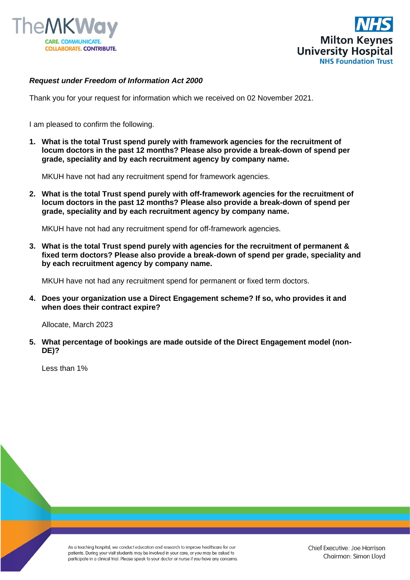



## *Request under Freedom of Information Act 2000*

Thank you for your request for information which we received on 02 November 2021.

I am pleased to confirm the following.

**1. What is the total Trust spend purely with framework agencies for the recruitment of locum doctors in the past 12 months? Please also provide a break-down of spend per grade, speciality and by each recruitment agency by company name.**

MKUH have not had any recruitment spend for framework agencies.

**2. What is the total Trust spend purely with off-framework agencies for the recruitment of locum doctors in the past 12 months? Please also provide a break-down of spend per grade, speciality and by each recruitment agency by company name.**

MKUH have not had any recruitment spend for off-framework agencies.

**3. What is the total Trust spend purely with agencies for the recruitment of permanent & fixed term doctors? Please also provide a break-down of spend per grade, speciality and by each recruitment agency by company name.**

MKUH have not had any recruitment spend for permanent or fixed term doctors.

**4. Does your organization use a Direct Engagement scheme? If so, who provides it and when does their contract expire?**

Allocate, March 2023

**5. What percentage of bookings are made outside of the Direct Engagement model (non-DE)?**

Less than 1%

As a teaching hospital, we conduct education and research to improve healthcare for our patients. During your visit students may be involved in your care, or you may be asked to participate in a clinical trial. Please speak to your doctor or nurse if you have any concerns.